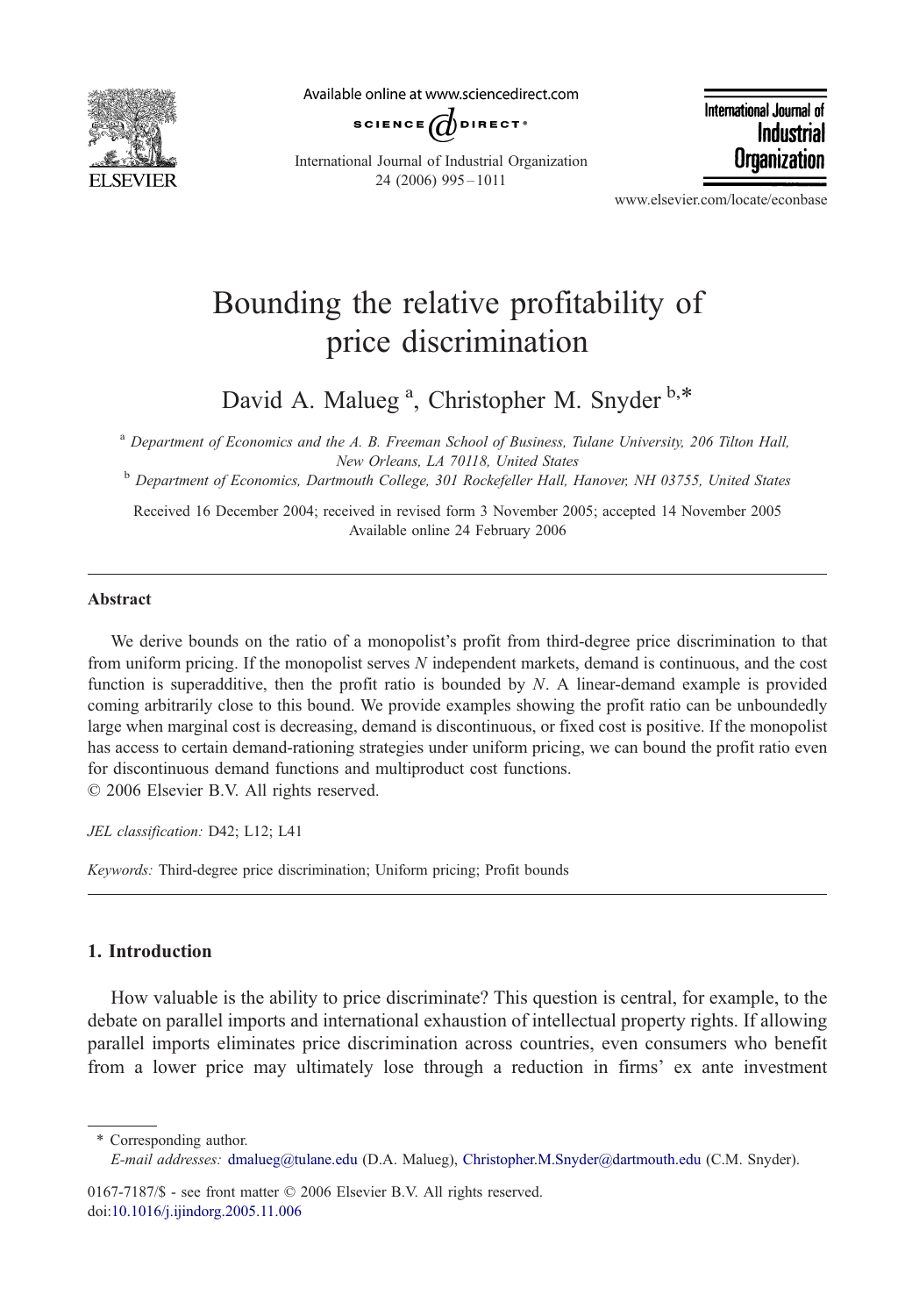

Available online at www.sciencedirect.com



International Journal of Industrial Organization 24 (2006) 995 – 1011

International Journal of Industrial Organization

www.elsevier.com/locate/econbase

## Bounding the relative profitability of price discrimination

David A. Malueg<sup>a</sup>, Christopher M. Snyder b,\*

<sup>a</sup> Department of Economics and the A. B. Freeman School of Business, Tulane University, 206 Tilton Hall,

New Orleans, LA 70118, United States<br><sup>b</sup> Department of Economics, Dartmouth College, 301 Rockefeller Hall, Hanover, NH 03755, United States

Received 16 December 2004; received in revised form 3 November 2005; accepted 14 November 2005 Available online 24 February 2006

## Abstract

We derive bounds on the ratio of a monopolist's profit from third-degree price discrimination to that from uniform pricing. If the monopolist serves N independent markets, demand is continuous, and the cost function is superadditive, then the profit ratio is bounded by  $N$ . A linear-demand example is provided coming arbitrarily close to this bound. We provide examples showing the profit ratio can be unboundedly large when marginal cost is decreasing, demand is discontinuous, or fixed cost is positive. If the monopolist has access to certain demand-rationing strategies under uniform pricing, we can bound the profit ratio even for discontinuous demand functions and multiproduct cost functions.  $\odot$  2006 Elsevier B.V. All rights reserved.

JEL classification: D42; L12; L41

Keywords: Third-degree price discrimination; Uniform pricing; Profit bounds

## 1. Introduction

How valuable is the ability to price discriminate? This question is central, for example, to the debate on parallel imports and international exhaustion of intellectual property rights. If allowing parallel imports eliminates price discrimination across countries, even consumers who benefit from a lower price may ultimately lose through a reduction in firms' ex ante investment

\* Corresponding author.

0167-7187/\$ - see front matter  $©$  2006 Elsevier B.V. All rights reserved. doi[:10.1016/j.ijindorg.2005.11.006](http://dx.doi.org/10.1016/j.ijindorg.2005.11.006)

E-mail addresses: [dmalueg@tulane.edu](mailto:dmalueg@tulane.edu) (D.A. Malueg), [Christopher.M.Snyder@dartmouth.edu](mailto:Christopher.M.Snyder@dartmouth.edu) (C.M. Snyder).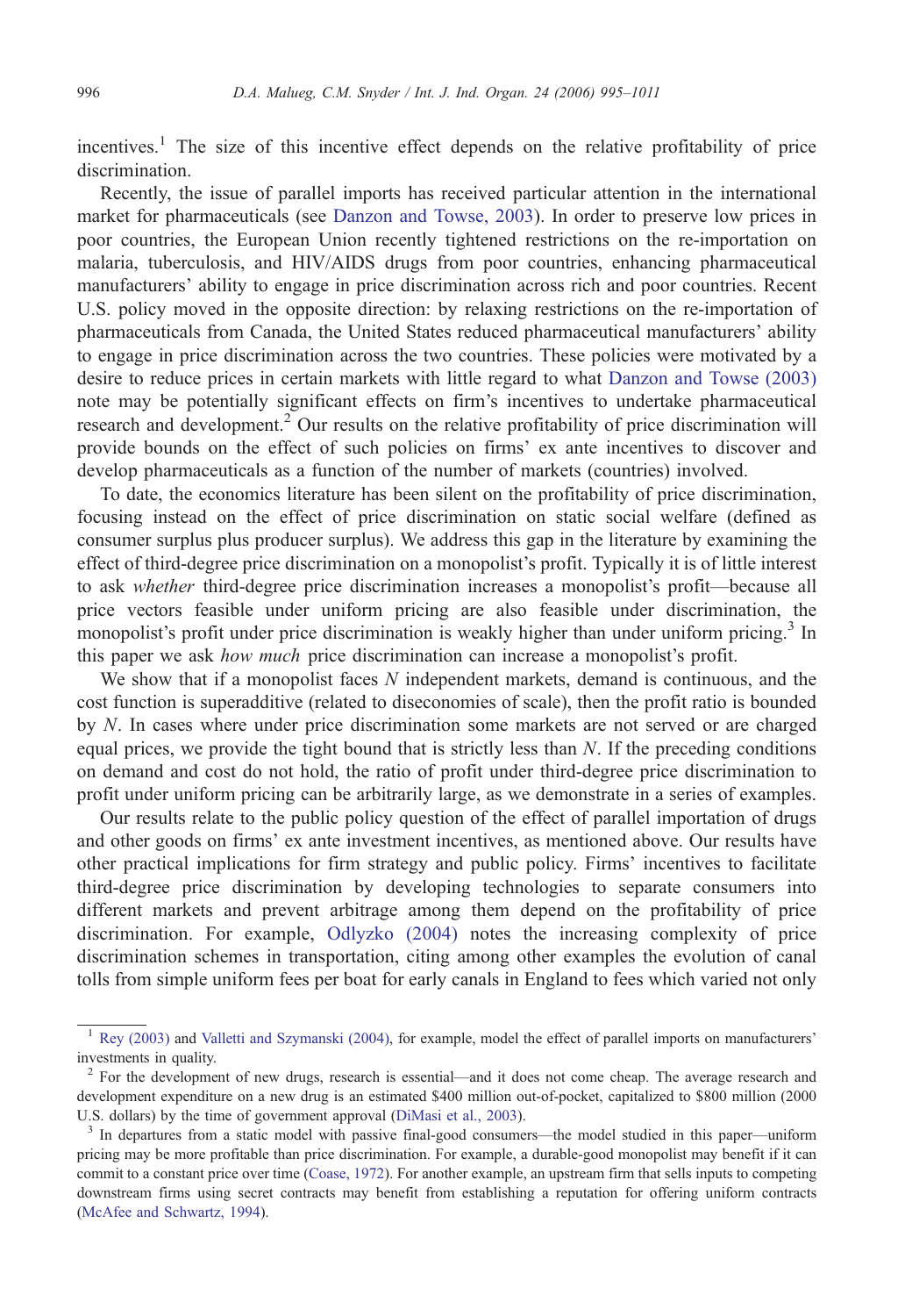incentives.<sup>1</sup> The size of this incentive effect depends on the relative profitability of price discrimination.

Recently, the issue of parallel imports has received particular attention in the international market for pharmaceuticals (see [Danzon and Towse, 2003\)](#page--1-0). In order to preserve low prices in poor countries, the European Union recently tightened restrictions on the re-importation on malaria, tuberculosis, and HIV/AIDS drugs from poor countries, enhancing pharmaceutical manufacturers' ability to engage in price discrimination across rich and poor countries. Recent U.S. policy moved in the opposite direction: by relaxing restrictions on the re-importation of pharmaceuticals from Canada, the United States reduced pharmaceutical manufacturers' ability to engage in price discrimination across the two countries. These policies were motivated by a desire to reduce prices in certain markets with little regard to what [Danzon and Towse \(2003\)](#page--1-0) note may be potentially significant effects on firm's incentives to undertake pharmaceutical research and development.<sup>2</sup> Our results on the relative profitability of price discrimination will provide bounds on the effect of such policies on firms' ex ante incentives to discover and develop pharmaceuticals as a function of the number of markets (countries) involved.

To date, the economics literature has been silent on the profitability of price discrimination, focusing instead on the effect of price discrimination on static social welfare (defined as consumer surplus plus producer surplus). We address this gap in the literature by examining the effect of third-degree price discrimination on a monopolist's profit. Typically it is of little interest to ask *whether* third-degree price discrimination increases a monopolist's profit—because all price vectors feasible under uniform pricing are also feasible under discrimination, the monopolist's profit under price discrimination is weakly higher than under uniform pricing.<sup>3</sup> In this paper we ask how much price discrimination can increase a monopolist's profit.

We show that if a monopolist faces  $N$  independent markets, demand is continuous, and the cost function is superadditive (related to diseconomies of scale), then the profit ratio is bounded by N. In cases where under price discrimination some markets are not served or are charged equal prices, we provide the tight bound that is strictly less than  $N$ . If the preceding conditions on demand and cost do not hold, the ratio of profit under third-degree price discrimination to profit under uniform pricing can be arbitrarily large, as we demonstrate in a series of examples.

Our results relate to the public policy question of the effect of parallel importation of drugs and other goods on firms' ex ante investment incentives, as mentioned above. Our results have other practical implications for firm strategy and public policy. Firms' incentives to facilitate third-degree price discrimination by developing technologies to separate consumers into different markets and prevent arbitrage among them depend on the profitability of price discrimination. For example, [Odlyzko \(2004\)](#page--1-0) notes the increasing complexity of price discrimination schemes in transportation, citing among other examples the evolution of canal tolls from simple uniform fees per boat for early canals in England to fees which varied not only

<sup>1</sup> [Rey \(2003\)](#page--1-0) and [Valletti and Szymanski \(2004\),](#page--1-0) for example, model the effect of parallel imports on manufacturers' investments in quality.

<sup>&</sup>lt;sup>2</sup> For the development of new drugs, research is essential—and it does not come cheap. The average research and development expenditure on a new drug is an estimated \$400 million out-of-pocket, capitalized to \$800 million (2000 U.S. dollars) by the time of government approval (DiMasi et al., 2003).

<sup>&</sup>lt;sup>3</sup> In departures from a static model with passive final-good consumers—the model studied in this paper—uniform pricing may be more profitable than price discrimination. For example, a durable-good monopolist may benefit if it can commit to a constant price over time [\(Coase, 1972](#page--1-0)). For another example, an upstream firm that sells inputs to competing downstream firms using secret contracts may benefit from establishing a reputation for offering uniform contracts ([McAfee and Schwartz, 1994\)](#page--1-0).